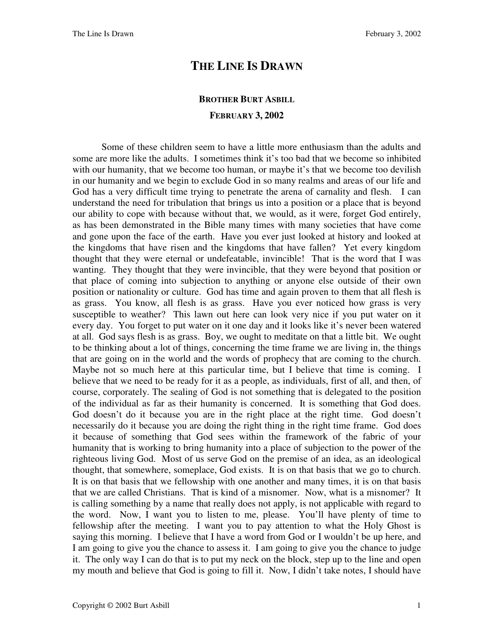## **THE LINE IS DRAWN**

## **BROTHER BURT ASBILL FEBRUARY 3, 2002**

Some of these children seem to have a little more enthusiasm than the adults and some are more like the adults. I sometimes think it's too bad that we become so inhibited with our humanity, that we become too human, or maybe it's that we become too devilish in our humanity and we begin to exclude God in so many realms and areas of our life and God has a very difficult time trying to penetrate the arena of carnality and flesh. I can understand the need for tribulation that brings us into a position or a place that is beyond our ability to cope with because without that, we would, as it were, forget God entirely, as has been demonstrated in the Bible many times with many societies that have come and gone upon the face of the earth. Have you ever just looked at history and looked at the kingdoms that have risen and the kingdoms that have fallen? Yet every kingdom thought that they were eternal or undefeatable, invincible! That is the word that I was wanting. They thought that they were invincible, that they were beyond that position or that place of coming into subjection to anything or anyone else outside of their own position or nationality or culture. God has time and again proven to them that all flesh is as grass. You know, all flesh is as grass. Have you ever noticed how grass is very susceptible to weather? This lawn out here can look very nice if you put water on it every day. You forget to put water on it one day and it looks like it's never been watered at all. God says flesh is as grass. Boy, we ought to meditate on that a little bit. We ought to be thinking about a lot of things, concerning the time frame we are living in, the things that are going on in the world and the words of prophecy that are coming to the church. Maybe not so much here at this particular time, but I believe that time is coming. I believe that we need to be ready for it as a people, as individuals, first of all, and then, of course, corporately. The sealing of God is not something that is delegated to the position of the individual as far as their humanity is concerned. It is something that God does. God doesn't do it because you are in the right place at the right time. God doesn't necessarily do it because you are doing the right thing in the right time frame. God does it because of something that God sees within the framework of the fabric of your humanity that is working to bring humanity into a place of subjection to the power of the righteous living God. Most of us serve God on the premise of an idea, as an ideological thought, that somewhere, someplace, God exists. It is on that basis that we go to church. It is on that basis that we fellowship with one another and many times, it is on that basis that we are called Christians. That is kind of a misnomer. Now, what is a misnomer? It is calling something by a name that really does not apply, is not applicable with regard to the word. Now, I want you to listen to me, please. You'll have plenty of time to fellowship after the meeting. I want you to pay attention to what the Holy Ghost is saying this morning. I believe that I have a word from God or I wouldn't be up here, and I am going to give you the chance to assess it. I am going to give you the chance to judge it. The only way I can do that is to put my neck on the block, step up to the line and open my mouth and believe that God is going to fill it. Now, I didn't take notes, I should have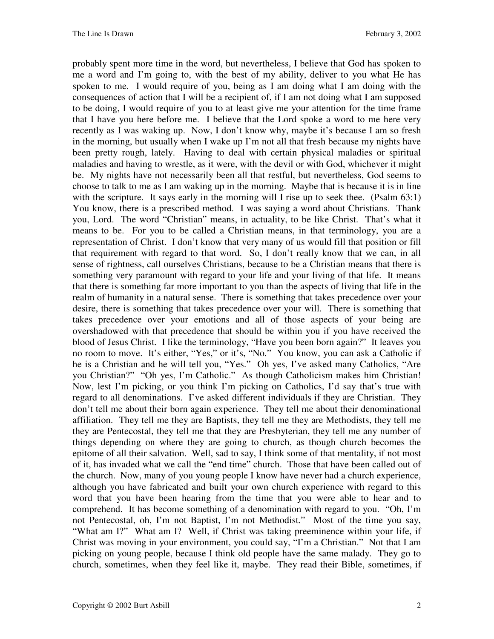probably spent more time in the word, but nevertheless, I believe that God has spoken to me a word and I'm going to, with the best of my ability, deliver to you what He has spoken to me. I would require of you, being as I am doing what I am doing with the consequences of action that I will be a recipient of, if I am not doing what I am supposed to be doing, I would require of you to at least give me your attention for the time frame that I have you here before me. I believe that the Lord spoke a word to me here very recently as I was waking up. Now, I don't know why, maybe it's because I am so fresh in the morning, but usually when I wake up I'm not all that fresh because my nights have been pretty rough, lately. Having to deal with certain physical maladies or spiritual maladies and having to wrestle, as it were, with the devil or with God, whichever it might be. My nights have not necessarily been all that restful, but nevertheless, God seems to choose to talk to me as I am waking up in the morning. Maybe that is because it is in line with the scripture. It says early in the morning will I rise up to seek thee. (Psalm 63:1) You know, there is a prescribed method. I was saying a word about Christians. Thank you, Lord. The word "Christian" means, in actuality, to be like Christ. That's what it means to be. For you to be called a Christian means, in that terminology, you are a representation of Christ. I don't know that very many of us would fill that position or fill that requirement with regard to that word. So, I don't really know that we can, in all sense of rightness, call ourselves Christians, because to be a Christian means that there is something very paramount with regard to your life and your living of that life. It means that there is something far more important to you than the aspects of living that life in the realm of humanity in a natural sense. There is something that takes precedence over your desire, there is something that takes precedence over your will. There is something that takes precedence over your emotions and all of those aspects of your being are overshadowed with that precedence that should be within you if you have received the blood of Jesus Christ. I like the terminology, "Have you been born again?" It leaves you no room to move. It's either, "Yes," or it's, "No." You know, you can ask a Catholic if he is a Christian and he will tell you, "Yes." Oh yes, I've asked many Catholics, "Are you Christian?" "Oh yes, I'm Catholic." As though Catholicism makes him Christian! Now, lest I'm picking, or you think I'm picking on Catholics, I'd say that's true with regard to all denominations. I've asked different individuals if they are Christian. They don't tell me about their born again experience. They tell me about their denominational affiliation. They tell me they are Baptists, they tell me they are Methodists, they tell me they are Pentecostal, they tell me that they are Presbyterian, they tell me any number of things depending on where they are going to church, as though church becomes the epitome of all their salvation. Well, sad to say, I think some of that mentality, if not most of it, has invaded what we call the "end time" church. Those that have been called out of the church. Now, many of you young people I know have never had a church experience, although you have fabricated and built your own church experience with regard to this word that you have been hearing from the time that you were able to hear and to comprehend. It has become something of a denomination with regard to you. "Oh, I'm not Pentecostal, oh, I'm not Baptist, I'm not Methodist." Most of the time you say, "What am I?" What am I? Well, if Christ was taking preeminence within your life, if Christ was moving in your environment, you could say, "I'm a Christian." Not that I am picking on young people, because I think old people have the same malady. They go to church, sometimes, when they feel like it, maybe. They read their Bible, sometimes, if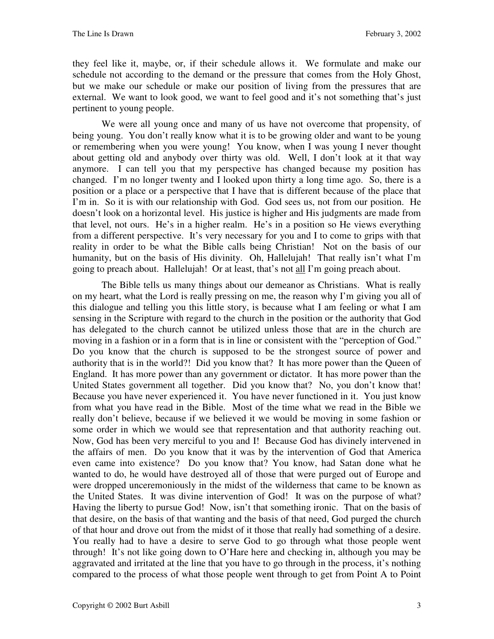they feel like it, maybe, or, if their schedule allows it. We formulate and make our schedule not according to the demand or the pressure that comes from the Holy Ghost, but we make our schedule or make our position of living from the pressures that are external. We want to look good, we want to feel good and it's not something that's just pertinent to young people.

We were all young once and many of us have not overcome that propensity, of being young. You don't really know what it is to be growing older and want to be young or remembering when you were young! You know, when I was young I never thought about getting old and anybody over thirty was old. Well, I don't look at it that way anymore. I can tell you that my perspective has changed because my position has changed. I'm no longer twenty and I looked upon thirty a long time ago. So, there is a position or a place or a perspective that I have that is different because of the place that I'm in. So it is with our relationship with God. God sees us, not from our position. He doesn't look on a horizontal level. His justice is higher and His judgments are made from that level, not ours. He's in a higher realm. He's in a position so He views everything from a different perspective. It's very necessary for you and I to come to grips with that reality in order to be what the Bible calls being Christian! Not on the basis of our humanity, but on the basis of His divinity. Oh, Hallelujah! That really isn't what I'm going to preach about. Hallelujah! Or at least, that's not all I'm going preach about.

The Bible tells us many things about our demeanor as Christians. What is really on my heart, what the Lord is really pressing on me, the reason why I'm giving you all of this dialogue and telling you this little story, is because what I am feeling or what I am sensing in the Scripture with regard to the church in the position or the authority that God has delegated to the church cannot be utilized unless those that are in the church are moving in a fashion or in a form that is in line or consistent with the "perception of God." Do you know that the church is supposed to be the strongest source of power and authority that is in the world?! Did you know that? It has more power than the Queen of England. It has more power than any government or dictator. It has more power than the United States government all together. Did you know that? No, you don't know that! Because you have never experienced it. You have never functioned in it. You just know from what you have read in the Bible. Most of the time what we read in the Bible we really don't believe, because if we believed it we would be moving in some fashion or some order in which we would see that representation and that authority reaching out. Now, God has been very merciful to you and I! Because God has divinely intervened in the affairs of men. Do you know that it was by the intervention of God that America even came into existence? Do you know that? You know, had Satan done what he wanted to do, he would have destroyed all of those that were purged out of Europe and were dropped unceremoniously in the midst of the wilderness that came to be known as the United States. It was divine intervention of God! It was on the purpose of what? Having the liberty to pursue God! Now, isn't that something ironic. That on the basis of that desire, on the basis of that wanting and the basis of that need, God purged the church of that hour and drove out from the midst of it those that really had something of a desire. You really had to have a desire to serve God to go through what those people went through! It's not like going down to O'Hare here and checking in, although you may be aggravated and irritated at the line that you have to go through in the process, it's nothing compared to the process of what those people went through to get from Point A to Point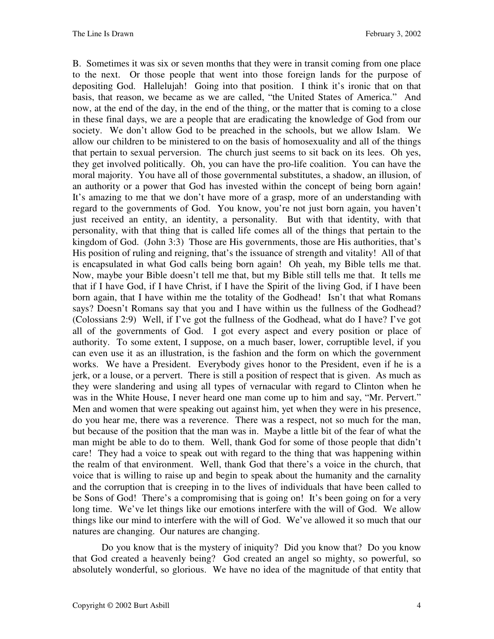B. Sometimes it was six or seven months that they were in transit coming from one place to the next. Or those people that went into those foreign lands for the purpose of depositing God. Hallelujah! Going into that position. I think it's ironic that on that basis, that reason, we became as we are called, "the United States of America." And now, at the end of the day, in the end of the thing, or the matter that is coming to a close in these final days, we are a people that are eradicating the knowledge of God from our society. We don't allow God to be preached in the schools, but we allow Islam. We allow our children to be ministered to on the basis of homosexuality and all of the things that pertain to sexual perversion. The church just seems to sit back on its lees. Oh yes, they get involved politically. Oh, you can have the pro-life coalition. You can have the moral majority. You have all of those governmental substitutes, a shadow, an illusion, of an authority or a power that God has invested within the concept of being born again! It's amazing to me that we don't have more of a grasp, more of an understanding with regard to the governments of God. You know, you're not just born again, you haven't just received an entity, an identity, a personality. But with that identity, with that personality, with that thing that is called life comes all of the things that pertain to the kingdom of God. (John 3:3) Those are His governments, those are His authorities, that's His position of ruling and reigning, that's the issuance of strength and vitality! All of that is encapsulated in what God calls being born again! Oh yeah, my Bible tells me that. Now, maybe your Bible doesn't tell me that, but my Bible still tells me that. It tells me that if I have God, if I have Christ, if I have the Spirit of the living God, if I have been born again, that I have within me the totality of the Godhead! Isn't that what Romans says? Doesn't Romans say that you and I have within us the fullness of the Godhead? (Colossians 2:9) Well, if I've got the fullness of the Godhead, what do I have? I've got all of the governments of God. I got every aspect and every position or place of authority. To some extent, I suppose, on a much baser, lower, corruptible level, if you can even use it as an illustration, is the fashion and the form on which the government works. We have a President. Everybody gives honor to the President, even if he is a jerk, or a louse, or a pervert. There is still a position of respect that is given. As much as they were slandering and using all types of vernacular with regard to Clinton when he was in the White House, I never heard one man come up to him and say, "Mr. Pervert." Men and women that were speaking out against him, yet when they were in his presence, do you hear me, there was a reverence. There was a respect, not so much for the man, but because of the position that the man was in. Maybe a little bit of the fear of what the man might be able to do to them. Well, thank God for some of those people that didn't care! They had a voice to speak out with regard to the thing that was happening within the realm of that environment. Well, thank God that there's a voice in the church, that voice that is willing to raise up and begin to speak about the humanity and the carnality and the corruption that is creeping in to the lives of individuals that have been called to be Sons of God! There's a compromising that is going on! It's been going on for a very long time. We've let things like our emotions interfere with the will of God. We allow things like our mind to interfere with the will of God. We've allowed it so much that our natures are changing. Our natures are changing.

Do you know that is the mystery of iniquity? Did you know that? Do you know that God created a heavenly being? God created an angel so mighty, so powerful, so absolutely wonderful, so glorious. We have no idea of the magnitude of that entity that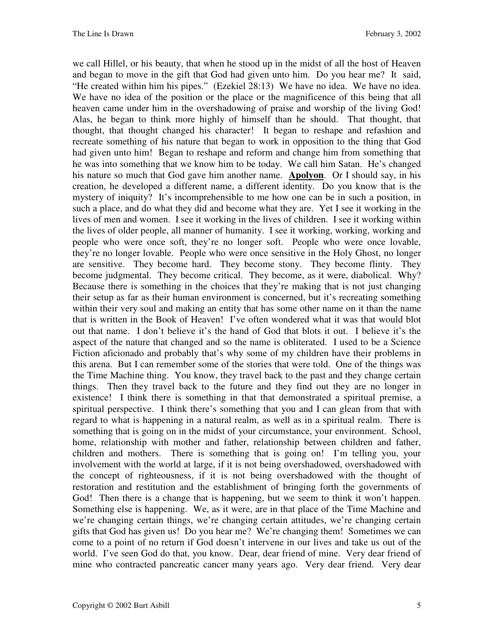we call Hillel, or his beauty, that when he stood up in the midst of all the host of Heaven and began to move in the gift that God had given unto him. Do you hear me? It said, "He created within him his pipes." (Ezekiel 28:13) We have no idea. We have no idea. We have no idea of the position or the place or the magnificence of this being that all heaven came under him in the overshadowing of praise and worship of the living God! Alas, he began to think more highly of himself than he should. That thought, that thought, that thought changed his character! It began to reshape and refashion and recreate something of his nature that began to work in opposition to the thing that God had given unto him! Began to reshape and reform and change him from something that he was into something that we know him to be today. We call him Satan. He's changed his nature so much that God gave him another name. **Apolyon**. Or I should say, in his creation, he developed a different name, a different identity. Do you know that is the mystery of iniquity? It's incomprehensible to me how one can be in such a position, in such a place, and do what they did and become what they are. Yet I see it working in the lives of men and women. I see it working in the lives of children. I see it working within the lives of older people, all manner of humanity. I see it working, working, working and people who were once soft, they're no longer soft. People who were once lovable, they're no longer lovable. People who were once sensitive in the Holy Ghost, no longer are sensitive. They become hard. They become stony. They become flinty. They become judgmental. They become critical. They become, as it were, diabolical. Why? Because there is something in the choices that they're making that is not just changing their setup as far as their human environment is concerned, but it's recreating something within their very soul and making an entity that has some other name on it than the name that is written in the Book of Heaven! I've often wondered what it was that would blot out that name. I don't believe it's the hand of God that blots it out. I believe it's the aspect of the nature that changed and so the name is obliterated. I used to be a Science Fiction aficionado and probably that's why some of my children have their problems in this arena. But I can remember some of the stories that were told. One of the things was the Time Machine thing. You know, they travel back to the past and they change certain things. Then they travel back to the future and they find out they are no longer in existence! I think there is something in that that demonstrated a spiritual premise, a spiritual perspective. I think there's something that you and I can glean from that with regard to what is happening in a natural realm, as well as in a spiritual realm. There is something that is going on in the midst of your circumstance, your environment. School, home, relationship with mother and father, relationship between children and father, children and mothers. There is something that is going on! I'm telling you, your involvement with the world at large, if it is not being overshadowed, overshadowed with the concept of righteousness, if it is not being overshadowed with the thought of restoration and restitution and the establishment of bringing forth the governments of God! Then there is a change that is happening, but we seem to think it won't happen. Something else is happening. We, as it were, are in that place of the Time Machine and we're changing certain things, we're changing certain attitudes, we're changing certain gifts that God has given us! Do you hear me? We're changing them! Sometimes we can come to a point of no return if God doesn't intervene in our lives and take us out of the world. I've seen God do that, you know. Dear, dear friend of mine. Very dear friend of mine who contracted pancreatic cancer many years ago. Very dear friend. Very dear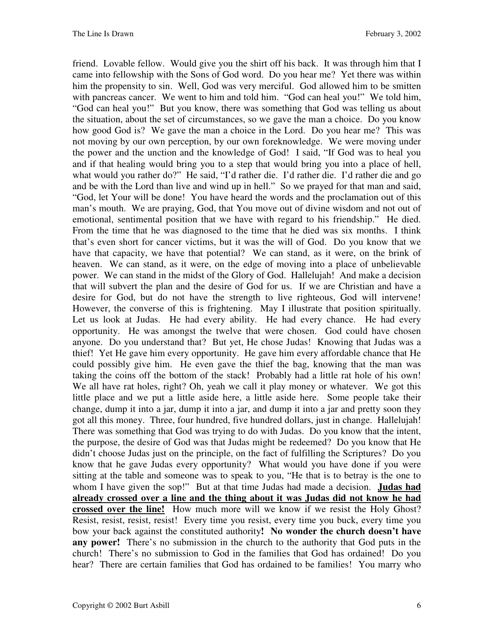friend. Lovable fellow. Would give you the shirt off his back. It was through him that I came into fellowship with the Sons of God word. Do you hear me? Yet there was within him the propensity to sin. Well, God was very merciful. God allowed him to be smitten with pancreas cancer. We went to him and told him. "God can heal you!" We told him, "God can heal you!" But you know, there was something that God was telling us about the situation, about the set of circumstances, so we gave the man a choice. Do you know how good God is? We gave the man a choice in the Lord. Do you hear me? This was not moving by our own perception, by our own foreknowledge. We were moving under the power and the unction and the knowledge of God! I said, "If God was to heal you and if that healing would bring you to a step that would bring you into a place of hell, what would you rather do?" He said, "I'd rather die. I'd rather die. I'd rather die and go and be with the Lord than live and wind up in hell." So we prayed for that man and said, "God, let Your will be done! You have heard the words and the proclamation out of this man's mouth. We are praying, God, that You move out of divine wisdom and not out of emotional, sentimental position that we have with regard to his friendship." He died. From the time that he was diagnosed to the time that he died was six months. I think that's even short for cancer victims, but it was the will of God. Do you know that we have that capacity, we have that potential? We can stand, as it were, on the brink of heaven. We can stand, as it were, on the edge of moving into a place of unbelievable power. We can stand in the midst of the Glory of God. Hallelujah! And make a decision that will subvert the plan and the desire of God for us. If we are Christian and have a desire for God, but do not have the strength to live righteous, God will intervene! However, the converse of this is frightening. May I illustrate that position spiritually. Let us look at Judas. He had every ability. He had every chance. He had every opportunity. He was amongst the twelve that were chosen. God could have chosen anyone. Do you understand that? But yet, He chose Judas! Knowing that Judas was a thief! Yet He gave him every opportunity. He gave him every affordable chance that He could possibly give him. He even gave the thief the bag, knowing that the man was taking the coins off the bottom of the stack! Probably had a little rat hole of his own! We all have rat holes, right? Oh, yeah we call it play money or whatever. We got this little place and we put a little aside here, a little aside here. Some people take their change, dump it into a jar, dump it into a jar, and dump it into a jar and pretty soon they got all this money. Three, four hundred, five hundred dollars, just in change. Hallelujah! There was something that God was trying to do with Judas. Do you know that the intent, the purpose, the desire of God was that Judas might be redeemed? Do you know that He didn't choose Judas just on the principle, on the fact of fulfilling the Scriptures? Do you know that he gave Judas every opportunity? What would you have done if you were sitting at the table and someone was to speak to you, "He that is to betray is the one to whom I have given the sop!" But at that time Judas had made a decision. **Judas had already crossed over a line and the thing about it was Judas did not know he had crossed over the line!** How much more will we know if we resist the Holy Ghost? Resist, resist, resist, resist! Every time you resist, every time you buck, every time you bow your back against the constituted authority**! No wonder the church doesn't have any power!** There's no submission in the church to the authority that God puts in the church! There's no submission to God in the families that God has ordained! Do you hear? There are certain families that God has ordained to be families! You marry who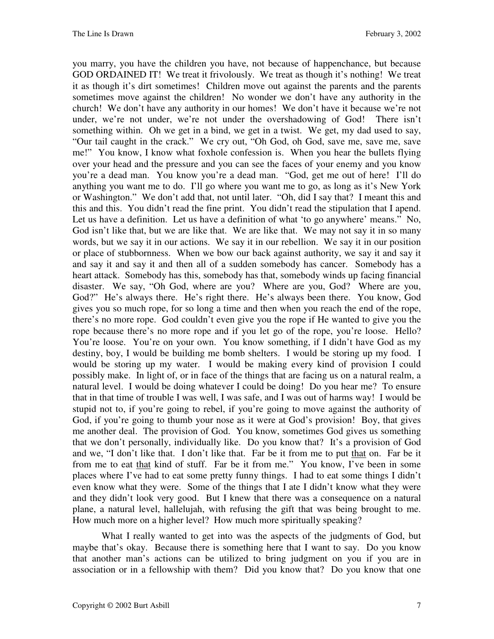you marry, you have the children you have, not because of happenchance, but because GOD ORDAINED IT! We treat it frivolously. We treat as though it's nothing! We treat it as though it's dirt sometimes! Children move out against the parents and the parents sometimes move against the children! No wonder we don't have any authority in the church! We don't have any authority in our homes! We don't have it because we're not under, we're not under, we're not under the overshadowing of God! There isn't something within. Oh we get in a bind, we get in a twist. We get, my dad used to say, "Our tail caught in the crack." We cry out, "Oh God, oh God, save me, save me, save me!" You know, I know what foxhole confession is. When you hear the bullets flying over your head and the pressure and you can see the faces of your enemy and you know you're a dead man. You know you're a dead man. "God, get me out of here! I'll do anything you want me to do. I'll go where you want me to go, as long as it's New York or Washington." We don't add that, not until later. "Oh, did I say that? I meant this and this and this. You didn't read the fine print. You didn't read the stipulation that I apend. Let us have a definition. Let us have a definition of what 'to go anywhere' means." No, God isn't like that, but we are like that. We are like that. We may not say it in so many words, but we say it in our actions. We say it in our rebellion. We say it in our position or place of stubbornness. When we bow our back against authority, we say it and say it and say it and say it and then all of a sudden somebody has cancer. Somebody has a heart attack. Somebody has this, somebody has that, somebody winds up facing financial disaster. We say, "Oh God, where are you? Where are you, God? Where are you, God?" He's always there. He's right there. He's always been there. You know, God gives you so much rope, for so long a time and then when you reach the end of the rope, there's no more rope. God couldn't even give you the rope if He wanted to give you the rope because there's no more rope and if you let go of the rope, you're loose. Hello? You're loose. You're on your own. You know something, if I didn't have God as my destiny, boy, I would be building me bomb shelters. I would be storing up my food. I would be storing up my water. I would be making every kind of provision I could possibly make. In light of, or in face of the things that are facing us on a natural realm, a natural level. I would be doing whatever I could be doing! Do you hear me? To ensure that in that time of trouble I was well, I was safe, and I was out of harms way! I would be stupid not to, if you're going to rebel, if you're going to move against the authority of God, if you're going to thumb your nose as it were at God's provision! Boy, that gives me another deal. The provision of God. You know, sometimes God gives us something that we don't personally, individually like. Do you know that? It's a provision of God and we, "I don't like that. I don't like that. Far be it from me to put that on. Far be it from me to eat that kind of stuff. Far be it from me." You know, I've been in some places where I've had to eat some pretty funny things. I had to eat some things I didn't even know what they were. Some of the things that I ate I didn't know what they were and they didn't look very good. But I knew that there was a consequence on a natural plane, a natural level, hallelujah, with refusing the gift that was being brought to me. How much more on a higher level? How much more spiritually speaking?

What I really wanted to get into was the aspects of the judgments of God, but maybe that's okay. Because there is something here that I want to say. Do you know that another man's actions can be utilized to bring judgment on you if you are in association or in a fellowship with them? Did you know that? Do you know that one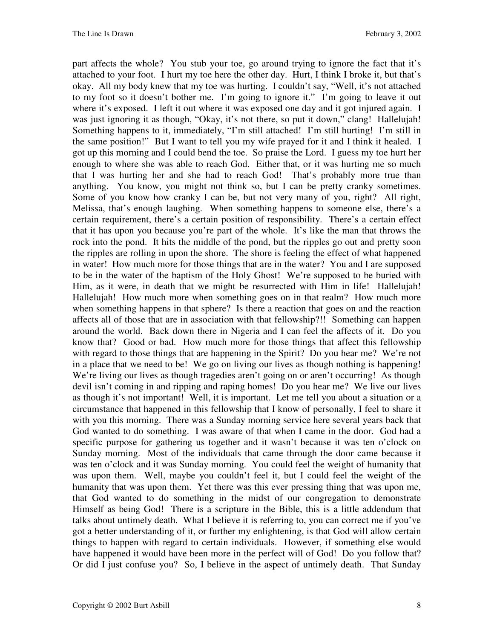part affects the whole? You stub your toe, go around trying to ignore the fact that it's attached to your foot. I hurt my toe here the other day. Hurt, I think I broke it, but that's okay. All my body knew that my toe was hurting. I couldn't say, "Well, it's not attached to my foot so it doesn't bother me. I'm going to ignore it." I'm going to leave it out where it's exposed. I left it out where it was exposed one day and it got injured again. I was just ignoring it as though, "Okay, it's not there, so put it down," clang! Hallelujah! Something happens to it, immediately, "I'm still attached! I'm still hurting! I'm still in the same position!" But I want to tell you my wife prayed for it and I think it healed. I got up this morning and I could bend the toe. So praise the Lord. I guess my toe hurt her enough to where she was able to reach God. Either that, or it was hurting me so much that I was hurting her and she had to reach God! That's probably more true than anything. You know, you might not think so, but I can be pretty cranky sometimes. Some of you know how cranky I can be, but not very many of you, right? All right, Melissa, that's enough laughing. When something happens to someone else, there's a certain requirement, there's a certain position of responsibility. There's a certain effect that it has upon you because you're part of the whole. It's like the man that throws the rock into the pond. It hits the middle of the pond, but the ripples go out and pretty soon the ripples are rolling in upon the shore. The shore is feeling the effect of what happened in water! How much more for those things that are in the water? You and I are supposed to be in the water of the baptism of the Holy Ghost! We're supposed to be buried with Him, as it were, in death that we might be resurrected with Him in life! Hallelujah! Hallelujah! How much more when something goes on in that realm? How much more when something happens in that sphere? Is there a reaction that goes on and the reaction affects all of those that are in association with that fellowship?!! Something can happen around the world. Back down there in Nigeria and I can feel the affects of it. Do you know that? Good or bad. How much more for those things that affect this fellowship with regard to those things that are happening in the Spirit? Do you hear me? We're not in a place that we need to be! We go on living our lives as though nothing is happening! We're living our lives as though tragedies aren't going on or aren't occurring! As though devil isn't coming in and ripping and raping homes! Do you hear me? We live our lives as though it's not important! Well, it is important. Let me tell you about a situation or a circumstance that happened in this fellowship that I know of personally, I feel to share it with you this morning. There was a Sunday morning service here several years back that God wanted to do something. I was aware of that when I came in the door. God had a specific purpose for gathering us together and it wasn't because it was ten o'clock on Sunday morning. Most of the individuals that came through the door came because it was ten o'clock and it was Sunday morning. You could feel the weight of humanity that was upon them. Well, maybe you couldn't feel it, but I could feel the weight of the humanity that was upon them. Yet there was this ever pressing thing that was upon me, that God wanted to do something in the midst of our congregation to demonstrate Himself as being God! There is a scripture in the Bible, this is a little addendum that talks about untimely death. What I believe it is referring to, you can correct me if you've got a better understanding of it, or further my enlightening, is that God will allow certain things to happen with regard to certain individuals. However, if something else would have happened it would have been more in the perfect will of God! Do you follow that? Or did I just confuse you? So, I believe in the aspect of untimely death. That Sunday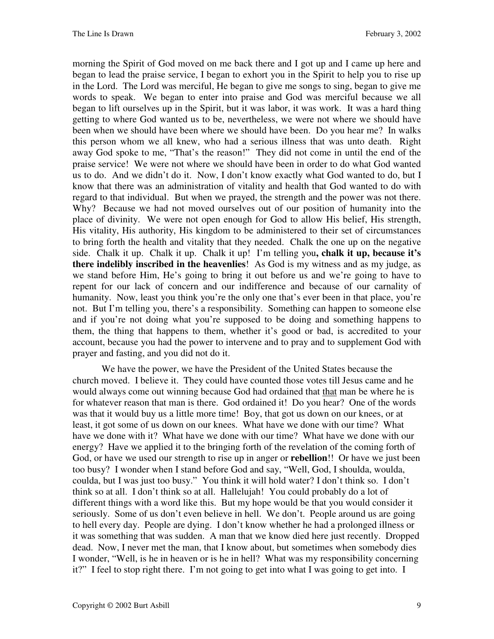morning the Spirit of God moved on me back there and I got up and I came up here and began to lead the praise service, I began to exhort you in the Spirit to help you to rise up in the Lord. The Lord was merciful, He began to give me songs to sing, began to give me words to speak. We began to enter into praise and God was merciful because we all began to lift ourselves up in the Spirit, but it was labor, it was work. It was a hard thing getting to where God wanted us to be, nevertheless, we were not where we should have been when we should have been where we should have been. Do you hear me? In walks this person whom we all knew, who had a serious illness that was unto death. Right away God spoke to me, "That's the reason!" They did not come in until the end of the praise service! We were not where we should have been in order to do what God wanted us to do. And we didn't do it. Now, I don't know exactly what God wanted to do, but I know that there was an administration of vitality and health that God wanted to do with regard to that individual. But when we prayed, the strength and the power was not there. Why? Because we had not moved ourselves out of our position of humanity into the place of divinity. We were not open enough for God to allow His belief, His strength, His vitality, His authority, His kingdom to be administered to their set of circumstances to bring forth the health and vitality that they needed. Chalk the one up on the negative side. Chalk it up. Chalk it up. Chalk it up! I'm telling you**, chalk it up, because it's there indelibly inscribed in the heavenlies**! As God is my witness and as my judge, as we stand before Him, He's going to bring it out before us and we're going to have to repent for our lack of concern and our indifference and because of our carnality of humanity. Now, least you think you're the only one that's ever been in that place, you're not. But I'm telling you, there's a responsibility. Something can happen to someone else and if you're not doing what you're supposed to be doing and something happens to them, the thing that happens to them, whether it's good or bad, is accredited to your account, because you had the power to intervene and to pray and to supplement God with prayer and fasting, and you did not do it.

We have the power, we have the President of the United States because the church moved. I believe it. They could have counted those votes till Jesus came and he would always come out winning because God had ordained that that man be where he is for whatever reason that man is there. God ordained it! Do you hear? One of the words was that it would buy us a little more time! Boy, that got us down on our knees, or at least, it got some of us down on our knees. What have we done with our time? What have we done with it? What have we done with our time? What have we done with our energy? Have we applied it to the bringing forth of the revelation of the coming forth of God, or have we used our strength to rise up in anger or **rebellion**!! Or have we just been too busy? I wonder when I stand before God and say, "Well, God, I shoulda, woulda, coulda, but I was just too busy." You think it will hold water? I don't think so. I don't think so at all. I don't think so at all. Hallelujah! You could probably do a lot of different things with a word like this. But my hope would be that you would consider it seriously. Some of us don't even believe in hell. We don't. People around us are going to hell every day. People are dying. I don't know whether he had a prolonged illness or it was something that was sudden. A man that we know died here just recently. Dropped dead. Now, I never met the man, that I know about, but sometimes when somebody dies I wonder, "Well, is he in heaven or is he in hell? What was my responsibility concerning it?" I feel to stop right there. I'm not going to get into what I was going to get into. I